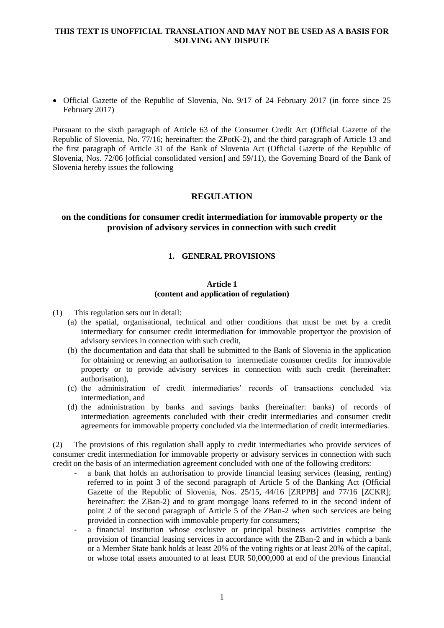• Official Gazette of the Republic of Slovenia, No. 9/17 of 24 February 2017 (in force since 25 February 2017)

Pursuant to the sixth paragraph of Article 63 of the Consumer Credit Act (Official Gazette of the Republic of Slovenia, No. 77/16; hereinafter: the ZPotK-2), and the third paragraph of Article 13 and the first paragraph of Article 31 of the Bank of Slovenia Act (Official Gazette of the Republic of Slovenia, Nos. 72/06 [official consolidated version] and 59/11), the Governing Board of the Bank of Slovenia hereby issues the following

## **REGULATION**

## **on the conditions for consumer credit intermediation for immovable property or the provision of advisory services in connection with such credit**

#### **1. GENERAL PROVISIONS**

#### **Article 1 (content and application of regulation)**

(1) This regulation sets out in detail:

- (a) the spatial, organisational, technical and other conditions that must be met by a credit intermediary for consumer credit intermediation for immovable propertyor the provision of advisory services in connection with such credit,
- (b) the documentation and data that shall be submitted to the Bank of Slovenia in the application for obtaining or renewing an authorisation to intermediate consumer credits for immovable property or to provide advisory services in connection with such credit (hereinafter: authorisation),
- (c) the administration of credit intermediaries' records of transactions concluded via intermediation, and
- (d) the administration by banks and savings banks (hereinafter: banks) of records of intermediation agreements concluded with their credit intermediaries and consumer credit agreements for immovable property concluded via the intermediation of credit intermediaries.

(2) The provisions of this regulation shall apply to credit intermediaries who provide services of consumer credit intermediation for immovable property or advisory services in connection with such credit on the basis of an intermediation agreement concluded with one of the following creditors:

- a bank that holds an authorisation to provide financial leasing services (leasing, renting) referred to in point 3 of the second paragraph of Article 5 of the Banking Act (Official Gazette of the Republic of Slovenia, Nos. 25/15, 44/16 [ZRPPB] and 77/16 [ZCKR]; hereinafter: the ZBan-2) and to grant mortgage loans referred to in the second indent of point 2 of the second paragraph of Article 5 of the ZBan-2 when such services are being provided in connection with immovable property for consumers;
- a financial institution whose exclusive or principal business activities comprise the provision of financial leasing services in accordance with the ZBan-2 and in which a bank or a Member State bank holds at least 20% of the voting rights or at least 20% of the capital, or whose total assets amounted to at least EUR 50,000,000 at end of the previous financial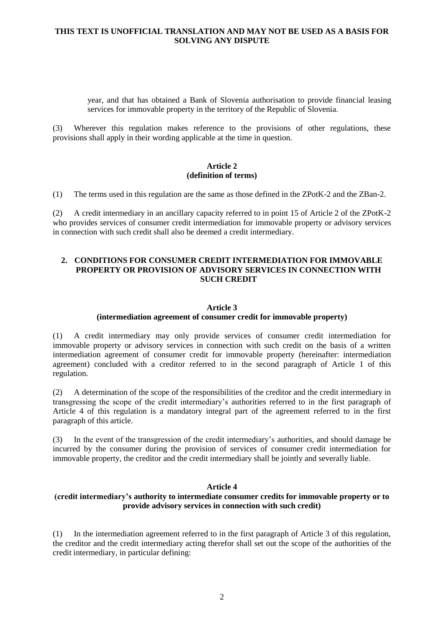year, and that has obtained a Bank of Slovenia authorisation to provide financial leasing services for immovable property in the territory of the Republic of Slovenia.

(3) Wherever this regulation makes reference to the provisions of other regulations, these provisions shall apply in their wording applicable at the time in question.

### **Article 2 (definition of terms)**

(1) The terms used in this regulation are the same as those defined in the ZPotK-2 and the ZBan-2.

(2) A credit intermediary in an ancillary capacity referred to in point 15 of Article 2 of the ZPotK-2 who provides services of consumer credit intermediation for immovable property or advisory services in connection with such credit shall also be deemed a credit intermediary.

## **2. CONDITIONS FOR CONSUMER CREDIT INTERMEDIATION FOR IMMOVABLE PROPERTY OR PROVISION OF ADVISORY SERVICES IN CONNECTION WITH SUCH CREDIT**

### **Article 3**

### **(intermediation agreement of consumer credit for immovable property)**

(1) A credit intermediary may only provide services of consumer credit intermediation for immovable property or advisory services in connection with such credit on the basis of a written intermediation agreement of consumer credit for immovable property (hereinafter: intermediation agreement) concluded with a creditor referred to in the second paragraph of Article 1 of this regulation.

(2) A determination of the scope of the responsibilities of the creditor and the credit intermediary in transgressing the scope of the credit intermediary's authorities referred to in the first paragraph of Article 4 of this regulation is a mandatory integral part of the agreement referred to in the first paragraph of this article.

(3) In the event of the transgression of the credit intermediary's authorities, and should damage be incurred by the consumer during the provision of services of consumer credit intermediation for immovable property, the creditor and the credit intermediary shall be jointly and severally liable.

## **Article 4**

# **(credit intermediary's authority to intermediate consumer credits for immovable property or to provide advisory services in connection with such credit)**

(1) In the intermediation agreement referred to in the first paragraph of Article 3 of this regulation, the creditor and the credit intermediary acting therefor shall set out the scope of the authorities of the credit intermediary, in particular defining: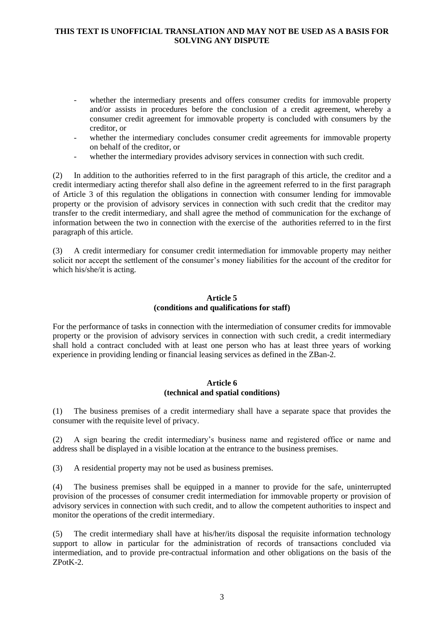- whether the intermediary presents and offers consumer credits for immovable property and/or assists in procedures before the conclusion of a credit agreement, whereby a consumer credit agreement for immovable property is concluded with consumers by the creditor, or
- whether the intermediary concludes consumer credit agreements for immovable property on behalf of the creditor, or
- whether the intermediary provides advisory services in connection with such credit.

(2) In addition to the authorities referred to in the first paragraph of this article, the creditor and a credit intermediary acting therefor shall also define in the agreement referred to in the first paragraph of Article 3 of this regulation the obligations in connection with consumer lending for immovable property or the provision of advisory services in connection with such credit that the creditor may transfer to the credit intermediary, and shall agree the method of communication for the exchange of information between the two in connection with the exercise of the authorities referred to in the first paragraph of this article.

(3) A credit intermediary for consumer credit intermediation for immovable property may neither solicit nor accept the settlement of the consumer's money liabilities for the account of the creditor for which his/she/it is acting.

# **Article 5 (conditions and qualifications for staff)**

For the performance of tasks in connection with the intermediation of consumer credits for immovable property or the provision of advisory services in connection with such credit, a credit intermediary shall hold a contract concluded with at least one person who has at least three years of working experience in providing lending or financial leasing services as defined in the ZBan-2.

## **Article 6 (technical and spatial conditions)**

(1) The business premises of a credit intermediary shall have a separate space that provides the consumer with the requisite level of privacy.

(2) A sign bearing the credit intermediary's business name and registered office or name and address shall be displayed in a visible location at the entrance to the business premises.

(3) A residential property may not be used as business premises.

(4) The business premises shall be equipped in a manner to provide for the safe, uninterrupted provision of the processes of consumer credit intermediation for immovable property or provision of advisory services in connection with such credit, and to allow the competent authorities to inspect and monitor the operations of the credit intermediary.

(5) The credit intermediary shall have at his/her/its disposal the requisite information technology support to allow in particular for the administration of records of transactions concluded via intermediation, and to provide pre-contractual information and other obligations on the basis of the ZPotK-2.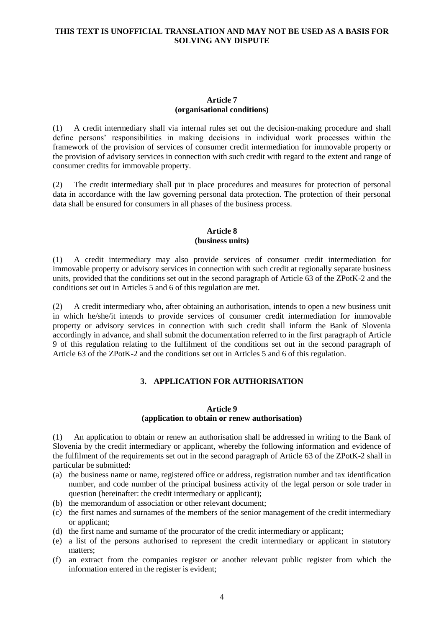### **Article 7 (organisational conditions)**

(1) A credit intermediary shall via internal rules set out the decision-making procedure and shall define persons' responsibilities in making decisions in individual work processes within the framework of the provision of services of consumer credit intermediation for immovable property or the provision of advisory services in connection with such credit with regard to the extent and range of consumer credits for immovable property.

(2) The credit intermediary shall put in place procedures and measures for protection of personal data in accordance with the law governing personal data protection. The protection of their personal data shall be ensured for consumers in all phases of the business process.

#### **Article 8 (business units)**

(1) A credit intermediary may also provide services of consumer credit intermediation for immovable property or advisory services in connection with such credit at regionally separate business units, provided that the conditions set out in the second paragraph of Article 63 of the ZPotK-2 and the conditions set out in Articles 5 and 6 of this regulation are met.

(2) A credit intermediary who, after obtaining an authorisation, intends to open a new business unit in which he/she/it intends to provide services of consumer credit intermediation for immovable property or advisory services in connection with such credit shall inform the Bank of Slovenia accordingly in advance, and shall submit the documentation referred to in the first paragraph of Article 9 of this regulation relating to the fulfilment of the conditions set out in the second paragraph of Article 63 of the ZPotK-2 and the conditions set out in Articles 5 and 6 of this regulation.

# **3. APPLICATION FOR AUTHORISATION**

#### **Article 9**

#### **(application to obtain or renew authorisation)**

(1) An application to obtain or renew an authorisation shall be addressed in writing to the Bank of Slovenia by the credit intermediary or applicant, whereby the following information and evidence of the fulfilment of the requirements set out in the second paragraph of Article 63 of the ZPotK-2 shall in particular be submitted:

- (a) the business name or name, registered office or address, registration number and tax identification number, and code number of the principal business activity of the legal person or sole trader in question (hereinafter: the credit intermediary or applicant);
- (b) the memorandum of association or other relevant document;
- (c) the first names and surnames of the members of the senior management of the credit intermediary or applicant;
- (d) the first name and surname of the procurator of the credit intermediary or applicant;
- (e) a list of the persons authorised to represent the credit intermediary or applicant in statutory matters;
- (f) an extract from the companies register or another relevant public register from which the information entered in the register is evident;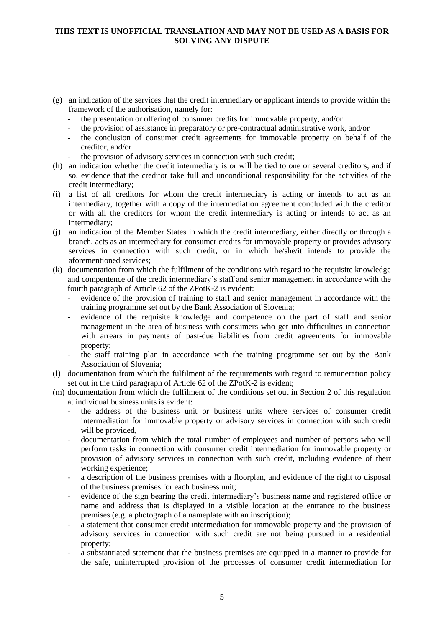- (g) an indication of the services that the credit intermediary or applicant intends to provide within the framework of the authorisation, namely for:
	- the presentation or offering of consumer credits for immovable property, and/or
	- the provision of assistance in preparatory or pre-contractual administrative work, and/or
	- the conclusion of consumer credit agreements for immovable property on behalf of the creditor, and/or
	- the provision of advisory services in connection with such credit;
- (h) an indication whether the credit intermediary is or will be tied to one or several creditors, and if so, evidence that the creditor take full and unconditional responsibility for the activities of the credit intermediary;
- (i) a list of all creditors for whom the credit intermediary is acting or intends to act as an intermediary, together with a copy of the intermediation agreement concluded with the creditor or with all the creditors for whom the credit intermediary is acting or intends to act as an intermediary;
- (j) an indication of the Member States in which the credit intermediary, either directly or through a branch, acts as an intermediary for consumer credits for immovable property or provides advisory services in connection with such credit, or in which he/she/it intends to provide the aforementioned services;
- (k) documentation from which the fulfilment of the conditions with regard to the requisite knowledge and compentence of the credit intermediary's staff and senior management in accordance with the fourth paragraph of Article 62 of the ZPotK-2 is evident:
	- evidence of the provision of training to staff and senior management in accordance with the training programme set out by the Bank Association of Slovenia;
	- evidence of the requisite knowledge and competence on the part of staff and senior management in the area of business with consumers who get into difficulties in connection with arrears in payments of past-due liabilities from credit agreements for immovable property;
	- the staff training plan in accordance with the training programme set out by the Bank Association of Slovenia;
- (l) documentation from which the fulfilment of the requirements with regard to remuneration policy set out in the third paragraph of Article 62 of the ZPotK-2 is evident;
- (m) documentation from which the fulfilment of the conditions set out in Section 2 of this regulation at individual business units is evident:
	- the address of the business unit or business units where services of consumer credit intermediation for immovable property or advisory services in connection with such credit will be provided,
	- documentation from which the total number of employees and number of persons who will perform tasks in connection with consumer credit intermediation for immovable property or provision of advisory services in connection with such credit, including evidence of their working experience;
	- a description of the business premises with a floorplan, and evidence of the right to disposal of the business premises for each business unit;
	- evidence of the sign bearing the credit intermediary's business name and registered office or name and address that is displayed in a visible location at the entrance to the business premises (e.g. a photograph of a nameplate with an inscription);
	- a statement that consumer credit intermediation for immovable property and the provision of advisory services in connection with such credit are not being pursued in a residential property;
	- a substantiated statement that the business premises are equipped in a manner to provide for the safe, uninterrupted provision of the processes of consumer credit intermediation for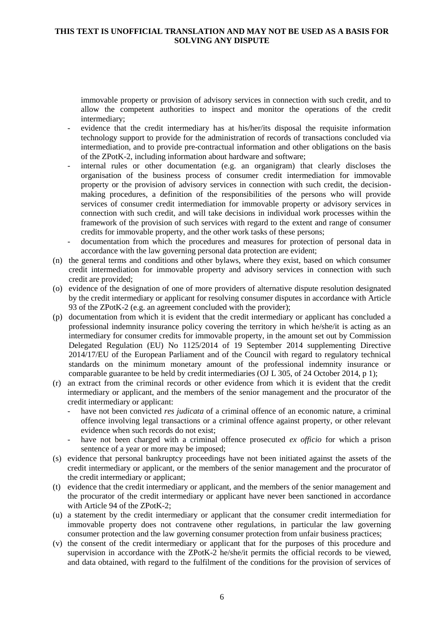immovable property or provision of advisory services in connection with such credit, and to allow the competent authorities to inspect and monitor the operations of the credit intermediary;

- evidence that the credit intermediary has at his/her/its disposal the requisite information technology support to provide for the administration of records of transactions concluded via intermediation, and to provide pre-contractual information and other obligations on the basis of the ZPotK-2, including information about hardware and software;
- internal rules or other documentation (e.g. an organigram) that clearly discloses the organisation of the business process of consumer credit intermediation for immovable property or the provision of advisory services in connection with such credit, the decisionmaking procedures, a definition of the responsibilities of the persons who will provide services of consumer credit intermediation for immovable property or advisory services in connection with such credit, and will take decisions in individual work processes within the framework of the provision of such services with regard to the extent and range of consumer credits for immovable property, and the other work tasks of these persons;
- documentation from which the procedures and measures for protection of personal data in accordance with the law governing personal data protection are evident;
- (n) the general terms and conditions and other bylaws, where they exist, based on which consumer credit intermediation for immovable property and advisory services in connection with such credit are provided;
- (o) evidence of the designation of one of more providers of alternative dispute resolution designated by the credit intermediary or applicant for resolving consumer disputes in accordance with Article 93 of the ZPotK-2 (e.g. an agreement concluded with the provider);
- (p) documentation from which it is evident that the credit intermediary or applicant has concluded a professional indemnity insurance policy covering the territory in which he/she/it is acting as an intermediary for consumer credits for immovable property, in the amount set out by Commission Delegated Regulation (EU) No 1125/2014 of 19 September 2014 supplementing Directive 2014/17/EU of the European Parliament and of the Council with regard to regulatory technical standards on the minimum monetary amount of the professional indemnity insurance or comparable guarantee to be held by credit intermediaries (OJ L 305, of 24 October 2014, p 1);
- (r) an extract from the criminal records or other evidence from which it is evident that the credit intermediary or applicant, and the members of the senior management and the procurator of the credit intermediary or applicant:
	- have not been convicted *res judicata* of a criminal offence of an economic nature, a criminal offence involving legal transactions or a criminal offence against property, or other relevant evidence when such records do not exist;
	- have not been charged with a criminal offence prosecuted *ex officio* for which a prison sentence of a year or more may be imposed;
- (s) evidence that personal bankruptcy proceedings have not been initiated against the assets of the credit intermediary or applicant, or the members of the senior management and the procurator of the credit intermediary or applicant;
- (t) evidence that the credit intermediary or applicant, and the members of the senior management and the procurator of the credit intermediary or applicant have never been sanctioned in accordance with Article 94 of the ZPotK-2;
- (u) a statement by the credit intermediary or applicant that the consumer credit intermediation for immovable property does not contravene other regulations, in particular the law governing consumer protection and the law governing consumer protection from unfair business practices;
- (v) the consent of the credit intermediary or applicant that for the purposes of this procedure and supervision in accordance with the ZPotK-2 he/she/it permits the official records to be viewed, and data obtained, with regard to the fulfilment of the conditions for the provision of services of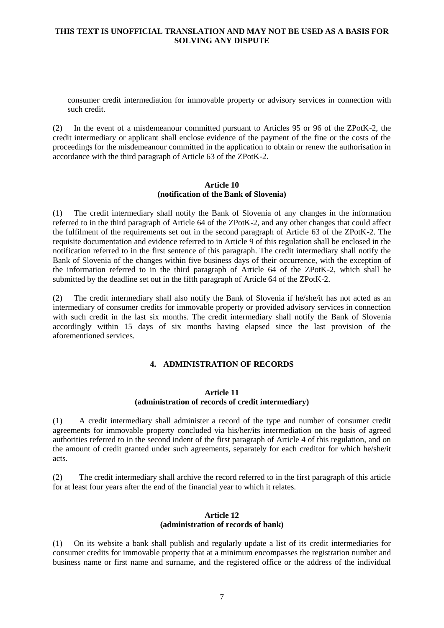consumer credit intermediation for immovable property or advisory services in connection with such credit.

(2) In the event of a misdemeanour committed pursuant to Articles 95 or 96 of the ZPotK-2, the credit intermediary or applicant shall enclose evidence of the payment of the fine or the costs of the proceedings for the misdemeanour committed in the application to obtain or renew the authorisation in accordance with the third paragraph of Article 63 of the ZPotK-2.

### **Article 10 (notification of the Bank of Slovenia)**

(1) The credit intermediary shall notify the Bank of Slovenia of any changes in the information referred to in the third paragraph of Article 64 of the ZPotK-2, and any other changes that could affect the fulfilment of the requirements set out in the second paragraph of Article 63 of the ZPotK-2. The requisite documentation and evidence referred to in Article 9 of this regulation shall be enclosed in the notification referred to in the first sentence of this paragraph. The credit intermediary shall notify the Bank of Slovenia of the changes within five business days of their occurrence, with the exception of the information referred to in the third paragraph of Article 64 of the ZPotK-2, which shall be submitted by the deadline set out in the fifth paragraph of Article 64 of the ZPotK-2.

(2) The credit intermediary shall also notify the Bank of Slovenia if he/she/it has not acted as an intermediary of consumer credits for immovable property or provided advisory services in connection with such credit in the last six months. The credit intermediary shall notify the Bank of Slovenia accordingly within 15 days of six months having elapsed since the last provision of the aforementioned services.

# **4. ADMINISTRATION OF RECORDS**

#### **Article 11 (administration of records of credit intermediary)**

(1) A credit intermediary shall administer a record of the type and number of consumer credit agreements for immovable property concluded via his/her/its intermediation on the basis of agreed authorities referred to in the second indent of the first paragraph of Article 4 of this regulation, and on the amount of credit granted under such agreements, separately for each creditor for which he/she/it acts.

(2) The credit intermediary shall archive the record referred to in the first paragraph of this article for at least four years after the end of the financial year to which it relates.

## **Article 12 (administration of records of bank)**

(1) On its website a bank shall publish and regularly update a list of its credit intermediaries for consumer credits for immovable property that at a minimum encompasses the registration number and business name or first name and surname, and the registered office or the address of the individual